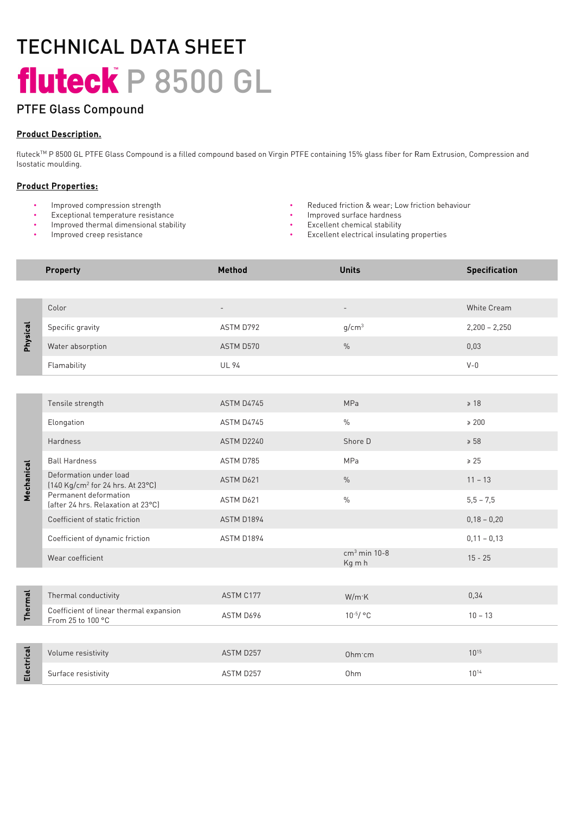# TECHNICAL DATA SHEET fluteck P 8500 GL

## PTFE Glass Compound

### Product Description.

fluteck™ P 8500 GL PTFE Glass Compound is a filled compound based on Virgin PTFE containing 15% glass fiber for Ram Extrusion, Compression and Isostatic moulding.

### Product Properties:

- Improved compression strength
- Exceptional temperature resistance
- Improved thermal dimensional stability
- Improved creep resistance
- Reduced friction & wear; Low friction behaviour
- Improved surface hardness
- Excellent chemical stability
- Excellent electrical insulating properties

|                | <b>Property</b>                                                        | <b>Method</b> | <b>Units</b>             | <b>Specification</b> |
|----------------|------------------------------------------------------------------------|---------------|--------------------------|----------------------|
|                |                                                                        |               |                          |                      |
| Physical       | Color                                                                  |               |                          | White Cream          |
|                | Specific gravity                                                       | ASTM D792     | g/cm <sup>3</sup>        | $2,200 - 2,250$      |
|                | Water absorption                                                       | ASTM D570     | $\%$                     | 0,03                 |
|                | Flamability                                                            | <b>UL 94</b>  |                          | $V - 0$              |
|                |                                                                        |               |                          |                      |
| Mechanical     | Tensile strength                                                       | ASTM D4745    | MPa                      | $\geq 18$            |
|                | Elongation                                                             | ASTM D4745    | $\frac{0}{0}$            | $\geq 200$           |
|                | <b>Hardness</b>                                                        | ASTM D2240    | Shore D                  | $\geqslant 58$       |
|                | <b>Ball Hardness</b>                                                   | ASTM D785     | MPa                      | $\ge 25$             |
|                | Deformation under load<br>[140 Kg/cm <sup>2</sup> for 24 hrs. At 23°C] | ASTM D621     | $\%$                     | $11 - 13$            |
|                | Permanent deformation<br>(after 24 hrs. Relaxation at 23°C)            | ASTM D621     | $\frac{0}{0}$            | $5,5 - 7,5$          |
|                | Coefficient of static friction                                         | ASTM D1894    |                          | $0,18 - 0,20$        |
|                | Coefficient of dynamic friction                                        | ASTM D1894    |                          | $0,11 - 0,13$        |
|                | Wear coefficient                                                       |               | $cm3$ min 10-8<br>Kg m h | $15 - 25$            |
|                |                                                                        |               |                          |                      |
| <b>Thermal</b> | Thermal conductivity                                                   | ASTM C177     | $W/m$ $K$                | 0,34                 |
|                | Coefficient of linear thermal expansion<br>From 25 to 100 °C           | ASTM D696     | $10^{-5}/$ °C            | $10 - 13$            |
|                |                                                                        |               |                          |                      |
| Electrical     | Volume resistivity                                                     | ASTM D257     | Ohm cm                   | $10^{15}$            |
|                | Surface resistivity                                                    | ASTM D257     | Ohm                      | $10^{14}$            |
|                |                                                                        |               |                          |                      |
|                |                                                                        |               |                          |                      |
|                |                                                                        |               |                          |                      |
|                |                                                                        |               |                          |                      |
|                |                                                                        |               |                          |                      |